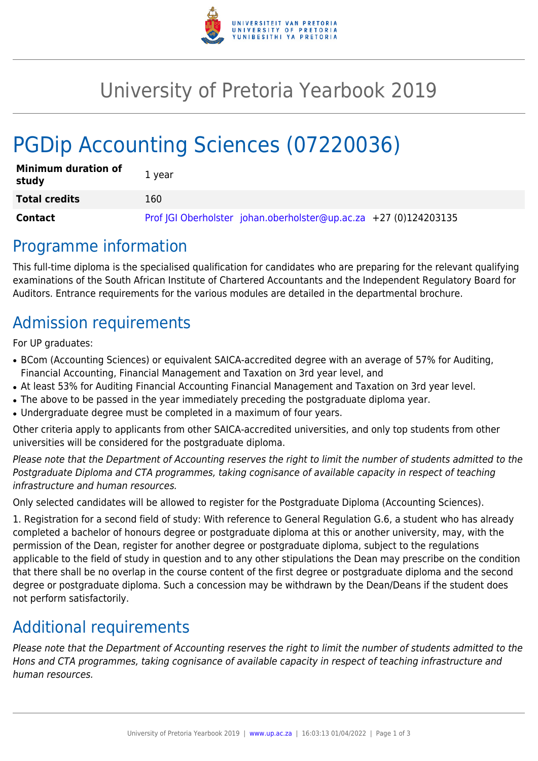

## University of Pretoria Yearbook 2019

# PGDip Accounting Sciences (07220036)

| <b>Minimum duration of</b><br>study | 1 year                                                           |
|-------------------------------------|------------------------------------------------------------------|
| <b>Total credits</b>                | 160                                                              |
| Contact                             | Prof JGI Oberholster johan.oberholster@up.ac.za +27 (0)124203135 |

#### Programme information

This full-time diploma is the specialised qualification for candidates who are preparing for the relevant qualifying examinations of the South African Institute of Chartered Accountants and the Independent Regulatory Board for Auditors. Entrance requirements for the various modules are detailed in the departmental brochure.

### Admission requirements

For UP graduates:

- BCom (Accounting Sciences) or equivalent SAICA-accredited degree with an average of 57% for Auditing, Financial Accounting, Financial Management and Taxation on 3rd year level, and
- At least 53% for Auditing Financial Accounting Financial Management and Taxation on 3rd year level.
- The above to be passed in the year immediately preceding the postgraduate diploma year.
- Undergraduate degree must be completed in a maximum of four years.

Other criteria apply to applicants from other SAICA-accredited universities, and only top students from other universities will be considered for the postgraduate diploma.

Please note that the Department of Accounting reserves the right to limit the number of students admitted to the Postgraduate Diploma and CTA programmes, taking cognisance of available capacity in respect of teaching infrastructure and human resources.

Only selected candidates will be allowed to register for the Postgraduate Diploma (Accounting Sciences).

1. Registration for a second field of study: With reference to General Regulation G.6, a student who has already completed a bachelor of honours degree or postgraduate diploma at this or another university, may, with the permission of the Dean, register for another degree or postgraduate diploma, subject to the regulations applicable to the field of study in question and to any other stipulations the Dean may prescribe on the condition that there shall be no overlap in the course content of the first degree or postgraduate diploma and the second degree or postgraduate diploma. Such a concession may be withdrawn by the Dean/Deans if the student does not perform satisfactorily.

## Additional requirements

Please note that the Department of Accounting reserves the right to limit the number of students admitted to the Hons and CTA programmes, taking cognisance of available capacity in respect of teaching infrastructure and human resources.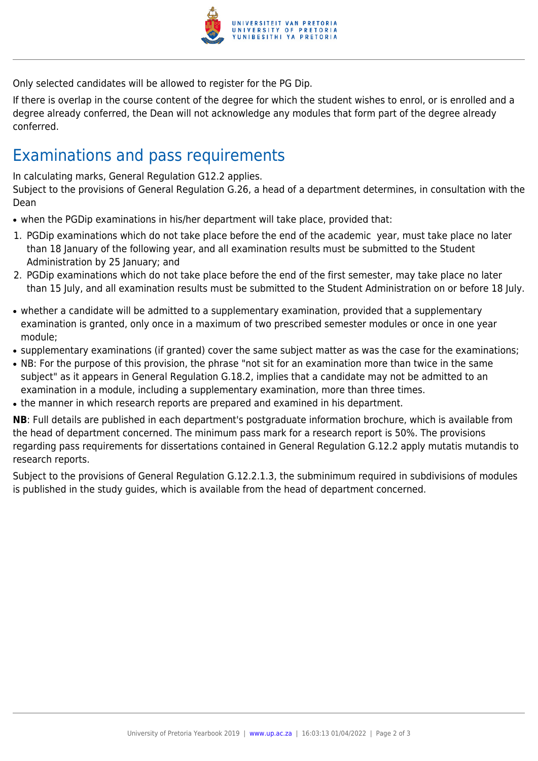

Only selected candidates will be allowed to register for the PG Dip.

If there is overlap in the course content of the degree for which the student wishes to enrol, or is enrolled and a degree already conferred, the Dean will not acknowledge any modules that form part of the degree already conferred.

#### Examinations and pass requirements

In calculating marks, General Regulation G12.2 applies.

Subject to the provisions of General Regulation G.26, a head of a department determines, in consultation with the Dean

- when the PGDip examinations in his/her department will take place, provided that:
- 1. PGDip examinations which do not take place before the end of the academic year, must take place no later than 18 January of the following year, and all examination results must be submitted to the Student Administration by 25 January; and
- 2. PGDip examinations which do not take place before the end of the first semester, may take place no later than 15 July, and all examination results must be submitted to the Student Administration on or before 18 July.
- whether a candidate will be admitted to a supplementary examination, provided that a supplementary examination is granted, only once in a maximum of two prescribed semester modules or once in one year module;
- supplementary examinations (if granted) cover the same subject matter as was the case for the examinations;
- NB: For the purpose of this provision, the phrase "not sit for an examination more than twice in the same subject" as it appears in General Regulation G.18.2, implies that a candidate may not be admitted to an examination in a module, including a supplementary examination, more than three times.
- the manner in which research reports are prepared and examined in his department.

**NB**: Full details are published in each department's postgraduate information brochure, which is available from the head of department concerned. The minimum pass mark for a research report is 50%. The provisions regarding pass requirements for dissertations contained in General Regulation G.12.2 apply mutatis mutandis to research reports.

Subject to the provisions of General Regulation G.12.2.1.3, the subminimum required in subdivisions of modules is published in the study guides, which is available from the head of department concerned.